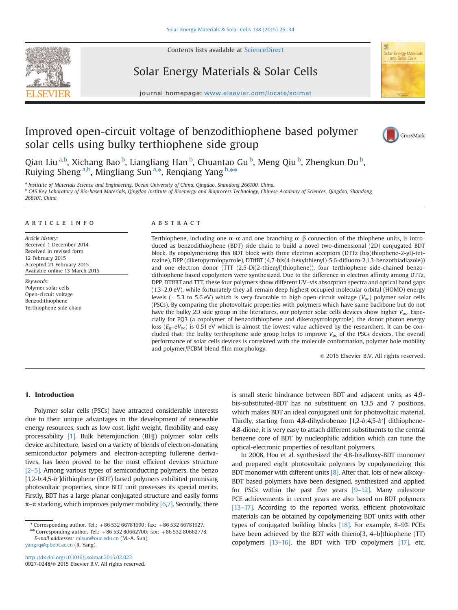

Contents lists available at [ScienceDirect](www.sciencedirect.com/science/journal/09270248)

## Solar Energy Materials & Solar Cells



journal homepage: <www.elsevier.com/locate/solmat>ics/solution/locate/solution/locate/solution/locate/solution/

## Improved open-circuit voltage of benzodithiophene based polymer solar cells using bulky terthiophene side group



Qian Liu <sup>a,b</sup>, Xichang Bao <sup>b</sup>, Liangliang Han <sup>b</sup>, Chuantao Gu <sup>b</sup>, Meng Qiu <sup>b</sup>, Zhengkun Du <sup>b</sup>, Ruiying Sheng <sup>a,b</sup>, Mingliang Sun<sup>a,\*</sup>, Renqiang Yang <sup>b,\*\*</sup>

<sup>a</sup> Institute of Materials Science and Engineering, Ocean University of China, Qingdao, Shandong 266100, China. <sup>b</sup> CAS Key Laboratory of Bio-based Materials, Qingdao Institute of Bioenergy and Bioprocess Technology, Chinese Academy of Sciences, Qingdao, Shandong 266101, China

## article info

Article history: Received 1 December 2014 Received in revised form 12 February 2015 Accepted 21 February 2015 Available online 13 March 2015

Keywords: Polymer solar cells Open-circuit voltage Benzodithiophene Terthiophene side chain

### **ARSTRACT**

Terthiophene, including one  $\alpha-\alpha$  and one branching  $\alpha-\beta$  connection of the thiophene units, is introduced as benzodithiophene (BDT) side chain to build a novel two-dimensional (2D) conjugated BDT block. By copolymerizing this BDT block with three electron acceptors (DTTz (bis(thiophene-2-yl)-tetrazine), DPP (diketopyrrolopyrrole), DTffBT (4,7-bis(4-hexylthienyl)-5,6-difluoro-2,1,3-benzothiadiazole)) and one electron donor (TTT (2,5-Di(2-thienyl)thiophene)), four terthiophene side-chained benzodithiophene based copolymers were synthesized. Due to the difference in electron affinity among DTTz, DPP, DTffBT and TTT, these four polymers show different UV–vis absorption spectra and optical band gaps (1.3–2.0 eV), while fortunately they all remain deep highest occupied molecular orbital (HOMO) energy levels ( $-5.3$  to 5.6 eV) which is very favorable to high open-circuit voltage ( $V_{\text{oc}}$ ) polymer solar cells (PSCs). By comparing the photovoltaic properties with polymers which have same backbone but do not have the bulky 2D side group in the literatures, our polymer solar cells devices show higher  $V_{\text{oc}}$ . Especially for PQ3 (a copolymer of benzodithiophene and diketopyrrolopyrrole), the donor photon energy loss ( $E_g - eV_{\text{oc}}$ ) is 0.51 eV which is almost the lowest value achieved by the researchers. It can be concluded that: the bulky terthiophene side group helps to improve  $V_{\text{oc}}$  of the PSCs devices. The overall performance of solar cells devices is correlated with the molecule conformation, polymer hole mobility and polymer/PCBM blend film morphology.

 $© 2015 Elsevier B.V. All rights reserved.$ 

## 1. Introduction

Polymer solar cells (PSCs) have attracted considerable interests due to their unique advantages in the development of renewable energy resources, such as low cost, light weight, flexibility and easy processability [1]. Bulk heterojunction (BHJ) polymer solar cells device architecture, based on a variety of blends of electron-donating semiconductor polymers and electron-accepting fullerene derivatives, has been proved to be the most efficient devices structure [2–5]. Among various types of semiconducting polymers, the benzo [1,2-b:4,5-b']dithiophene (BDT) based polymers exhibited promising photovoltaic properties, since BDT unit possesses its special merits. Firstly, BDT has a large planar conjugated structure and easily forms  $\pi$ – $\pi$  stacking, which improves polymer mobility [6,7]. Secondly, there

E-mail addresses: [mlsun@ouc.edu.cn](mailto:mlsun@ouc.edu.cn) (M.-A. Sun),

[yangrq@qibebt.ac.cn](mailto:yangrq@qibebt.ac.cn) (R. Yang).

is small steric hindrance between BDT and adjacent units, as 4,9 bis-substituted-BDT has no substituent on 1,3,5 and 7 positions, which makes BDT an ideal conjugated unit for photovoltaic material. Thirdly, starting from 4,8-dihydrobenzo [1,2-b:4,5-b′] dithiophene-4,8-dione, it is very easy to attach different substituents to the central benzene core of BDT by nucleophilic addition which can tune the optical-electronic properties of resultant polymers.

In 2008, Hou et al. synthesized the 4,8-bisalkoxy-BDT monomer and prepared eight photovoltaic polymers by copolymerizing this BDT monomer with different units  $[8]$ . After that, lots of new alkoxy-BDT based polymers have been designed, synthesized and applied for PSCs within the past five years [9–12]. Many milestone PCE achievements in recent years are also based on BDT polymers [13–17]. According to the reported works, efficient photovoltaic materials can be obtained by copolymerizing BDT units with other types of conjugated building blocks [18]. For example, 8–9% PCEs have been achieved by the BDT with thieno[3, 4–b]thiophene (TT) copolymers [13–16], the BDT with TPD copolymers [17], etc.

<sup>\*</sup> Corresponding author. Tel.: +86 532 66781690; fax: +86 532 66781927.<br>\*\* Corresponding author. Tel.: +86 532 80662700; fax: +86 532 80662778.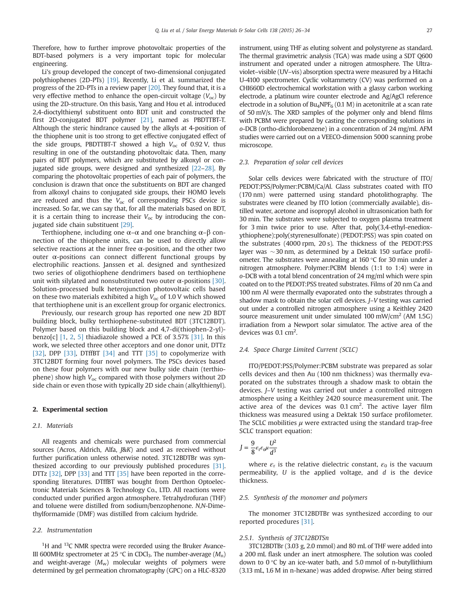Therefore, how to further improve photovoltaic properties of the BDT-based polymers is a very important topic for molecular engineering.

Li's group developed the concept of two-dimensional conjugated polythiophenes (2D-PTs) [19]. Recently, Li et al. summarized the progress of the 2D-PTs in a review paper [20]. They found that, it is a very effective method to enhance the open-circuit voltage  $(V_{oc})$  by using the 2D-structure. On this basis, Yang and Hou et al. introduced 2,4-dioctylthienyl substituent onto BDT unit and constructed the first 2D-conjugated BDT polymer [21], named as PBDTTBT-T. Although the steric hindrance caused by the alkyls at 4-position of the thiophene unit is too strong to get effective conjugated effect of the side groups, PBDTTBT-T showed a high  $V_{\text{oc}}$  of 0.92 V, thus resulting in one of the outstanding photovoltaic data. Then, many pairs of BDT polymers, which are substituted by alkoxyl or conjugated side groups, were designed and synthesized [22–28]. By comparing the photovoltaic properties of each pair of polymers, the conclusion is drawn that once the substituents on BDT are changed from alkoxyl chains to conjugated side groups, their HOMO levels are reduced and thus the  $V_{\text{oc}}$  of corresponding PSCs device is increased. So far, we can say that, for all the materials based on BDT, it is a certain thing to increase their  $V_{\text{oc}}$  by introducing the conjugated side chain substituent [29].

Terthiophene, including one  $\alpha$ – $\alpha$  and one branching  $\alpha$ – $\beta$  connection of the thiophene units, can be used to directly allow selective reactions at the inner free  $\alpha$ -position, and the other two outer  $α$ -positions can connect different functional groups by electrophilic reactions. Janssen et al. designed and synthesized two series of oligothiophene dendrimers based on terthiophene unit with silylated and nonsubstituted two outer  $\alpha$ -positions [30]. Solution-processed bulk heterojunction photovoltaic cells based on these two materials exhibited a high  $V_{\text{oc}}$  of 1.0 V which showed that terthiophene unit is an excellent group for organic electronics.

Previously, our research group has reported one new 2D BDT building block, bulky terthiophene-substituted BDT (3TC12BDT). Polymer based on this building block and 4,7-di(thiophen-2-yl) benzo[c]  $[1, 2, 5]$  thiadiazole showed a PCE of 3.57%  $[31]$ . In this work, we selected three other acceptors and one donor unit, DTTz [32], DPP [33], DTffBT [34] and TTT [35] to copolymerize with 3TC12BDT forming four novel polymers. The PSCs devices based on these four polymers with our new bulky side chain (terthiophene) show high  $V_{\text{oc}}$  compared with those polymers without 2D side chain or even those with typically 2D side chain (alkylthienyl).

### 2. Experimental section

#### 2.1. Materials

All reagents and chemicals were purchased from commercial sources (Acros, Aldrich, Alfa, J&K) and used as received without further purification unless otherwise noted. 3TC12BDTBr was synthesized according to our previously published procedures [31]. DTTz [32], DPP [33] and TTT [35] have been reported in the corresponding literatures. DTffBT was bought from Derthon Optoelectronic Materials Sciences & Technology Co., LTD. All reactions were conducted under purified argon atmosphere. Tetrahydrofuran (THF) and toluene were distilled from sodium/benzophenone. N,N-Dimethylformamide (DMF) was distilled from calcium hydride.

#### 2.2. Instrumentation

 $1$ <sup>1</sup>H and  $13$ C NMR spectra were recorded using the Bruker Avance-III 600MHz spectrometer at 25 °C in CDCl<sub>3</sub>. The number-average  $(M_n)$ and weight-average  $(M_w)$  molecular weights of polymers were determined by gel permeation chromatography (GPC) on a HLC-8320 instrument, using THF as eluting solvent and polystyrene as standard. The thermal gravimetric analysis (TGA) was made using a SDT Q600 instrument and operated under a nitrogen atmosphere. The Ultraviolet–visible (UV–vis) absorption spectra were measured by a Hitachi U-4100 spectrometer. Cyclic voltammetry (CV) was performed on a CHI660D electrochemical workstation with a glassy carbon working electrode, a platinum wire counter electrode and Ag/AgCl reference electrode in a solution of  $Bu_4NPF_6$  (0.1 M) in acetonitrile at a scan rate of 50 mV/s. The XRD samples of the polymer only and blend films with PCBM were prepared by casting the corresponding solutions in o-DCB (ortho-dichlorobenzene) in a concentration of 24 mg/ml. AFM studies were carried out on a VEECO-dimension 5000 scanning probe microscope.

#### 2.3. Preparation of solar cell devices

Solar cells devices were fabricated with the structure of ITO/ PEDOT:PSS/Polymer:PCBM/Ca/Al. Glass substrates coated with ITO (170 nm) were patterned using standard photolithography. The substrates were cleaned by ITO lotion (commercially available), distilled water, acetone and isopropyl alcohol in ultrasonication bath for 30 min. The substrates were subjected to oxygen plasma treatment for 3 min twice prior to use. After that, poly(3,4-ethyl-enedioxythiophene):poly(styrenesulfonate) (PEDOT:PSS) was spin coated on the substrates (4000 rpm, 20 s). The thickness of the PEDOT:PSS layer was  $\sim$ 30 nm, as determined by a Dektak 150 surface profilometer. The substrates were annealing at 160 °C for 30 min under a nitrogen atmosphere. Polymer:PCBM blends (1:1 to 1:4) were in o-DCB with a total blend concentration of 24 mg/ml which were spin coated on to the PEDOT:PSS treated substrates. Films of 20 nm Ca and 100 nm Al were thermally evaporated onto the substrates through a shadow mask to obtain the solar cell devices. J–V testing was carried out under a controlled nitrogen atmosphere using a Keithley 2420 source measurement unit under simulated 100 mW/cm<sup>2</sup> (AM 1.5G) irradiation from a Newport solar simulator. The active area of the devices was  $0.1$  cm<sup>2</sup>.

## 2.4. Space Charge Limited Current (SCLC)

ITO/PEDOT:PSS/Polymer:PCBM substrate was prepared as solar cells devices and then Au (100 nm thickness) was thermally evaporated on the substrates through a shadow mask to obtain the devices. J–V testing was carried out under a controlled nitrogen atmosphere using a Keithley 2420 source measurement unit. The active area of the devices was  $0.1 \text{ cm}^2$ . The active layer film thickness was measured using a Dektak 150 surface profilometer. The SCLC mobilities  $\mu$  were extracted using the standard trap-free SCLC transport equation:

$$
J = \frac{9}{8} \varepsilon_{\rm r} \varepsilon_{\rm o} \mu \frac{U^2}{d^3}
$$

where  $\varepsilon_r$  is the relative dielectric constant,  $\varepsilon_0$  is the vacuum permeability,  $U$  is the applied voltage, and  $d$  is the device thickness.

## 2.5. Synthesis of the monomer and polymers

The monomer 3TC12BDTBr was synthesized according to our reported procedures [31].

#### 2.5.1. Synthesis of 3TC12BDTSn

3TC12BDTBr (3.03 g, 2.0 mmol) and 80 mL of THF were added into a 200 mL flask under an inert atmosphere. The solution was cooled down to  $0^{\circ}$ C by an ice-water bath, and 5.0 mmol of n-butyllithium (3.13 mL, 1.6 M in n-hexane) was added dropwise. After being stirred